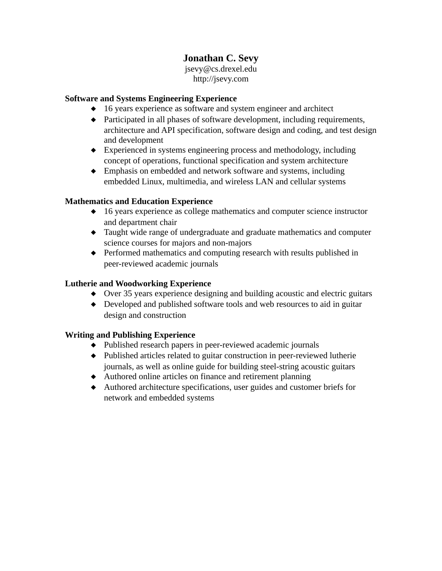# **Jonathan C. Sevy**

jsevy@cs.drexel.edu http://jsevy.com

#### **Software and Systems Engineering Experience**

- 16 years experience as software and system engineer and architect
- Participated in all phases of software development, including requirements, architecture and API specification, software design and coding, and test design and development
- Experienced in systems engineering process and methodology, including concept of operations, functional specification and system architecture
- Emphasis on embedded and network software and systems, including embedded Linux, multimedia, and wireless LAN and cellular systems

#### **Mathematics and Education Experience**

- ◆ 16 years experience as college mathematics and computer science instructor and department chair
- Taught wide range of undergraduate and graduate mathematics and computer science courses for majors and non-majors
- Performed mathematics and computing research with results published in peer-reviewed academic journals

#### **Lutherie and Woodworking Experience**

- Over 35 years experience designing and building acoustic and electric guitars
- Developed and published software tools and web resources to aid in guitar design and construction

# **Writing and Publishing Experience**

- Published research papers in peer-reviewed academic journals
- Published articles related to guitar construction in peer-reviewed lutherie journals, as well as online guide for building steel-string acoustic guitars
- Authored online articles on finance and retirement planning
- Authored architecture specifications, user guides and customer briefs for network and embedded systems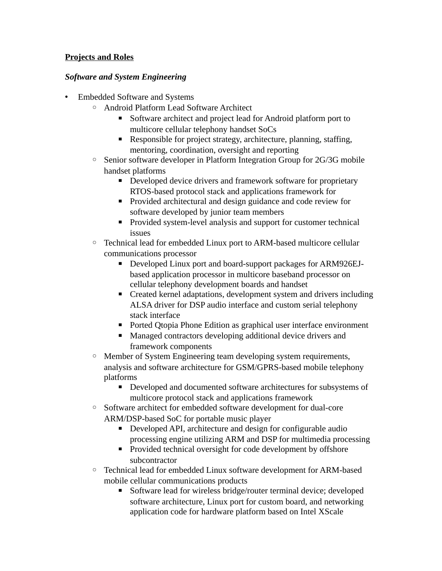#### **Projects and Roles**

#### *Software and System Engineering*

- Embedded Software and Systems
	- Android Platform Lead Software Architect
		- Software architect and project lead for Android platform port to multicore cellular telephony handset SoCs
		- Responsible for project strategy, architecture, planning, staffing, mentoring, coordination, oversight and reporting
	- Senior software developer in Platform Integration Group for 2G/3G mobile handset platforms
		- Developed device drivers and framework software for proprietary RTOS-based protocol stack and applications framework for
		- Provided architectural and design guidance and code review for software developed by junior team members
		- Provided system-level analysis and support for customer technical issues
	- Technical lead for embedded Linux port to ARM-based multicore cellular communications processor
		- Developed Linux port and board-support packages for ARM926EJbased application processor in multicore baseband processor on cellular telephony development boards and handset
		- Created kernel adaptations, development system and drivers including ALSA driver for DSP audio interface and custom serial telephony stack interface
		- Ported Qtopia Phone Edition as graphical user interface environment
		- Managed contractors developing additional device drivers and framework components
	- Member of System Engineering team developing system requirements, analysis and software architecture for GSM/GPRS-based mobile telephony platforms
		- Developed and documented software architectures for subsystems of multicore protocol stack and applications framework
	- Software architect for embedded software development for dual-core ARM/DSP-based SoC for portable music player
		- Developed API, architecture and design for configurable audio processing engine utilizing ARM and DSP for multimedia processing
		- **•** Provided technical oversight for code development by offshore subcontractor
	- Technical lead for embedded Linux software development for ARM-based mobile cellular communications products
		- Software lead for wireless bridge/router terminal device; developed software architecture, Linux port for custom board, and networking application code for hardware platform based on Intel XScale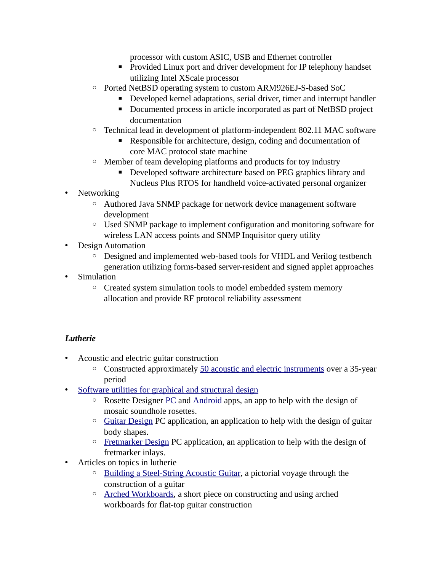processor with custom ASIC, USB and Ethernet controller

- **•** Provided Linux port and driver development for IP telephony handset utilizing Intel XScale processor
- Ported NetBSD operating system to custom ARM926EJ-S-based SoC
	- Developed kernel adaptations, serial driver, timer and interrupt handler
	- Documented process in article incorporated as part of NetBSD project documentation
- Technical lead in development of platform-independent 802.11 MAC software
	- Responsible for architecture, design, coding and documentation of core MAC protocol state machine
- Member of team developing platforms and products for toy industry
	- **Developed software architecture based on PEG graphics library and** Nucleus Plus RTOS for handheld voice-activated personal organizer
- Networking
	- Authored Java SNMP package for network device management software development
	- Used SNMP package to implement configuration and monitoring software for wireless LAN access points and SNMP Inquisitor query utility
- Design Automation
	- Designed and implemented web-based tools for VHDL and Verilog testbench generation utilizing forms-based server-resident and signed applet approaches
- Simulation
	- Created system simulation tools to model embedded system memory allocation and provide RF protocol reliability assessment

# *Lutherie*

- Acoustic and electric guitar construction
	- Constructed approximately [50 acoustic and electric instruments](http://jsevy.com/wordpress/index.php/lutherie/lutherie-gallery/) over a 35-year period
- [Software utilities for graphical and structural design](http://jsevy.com/wordpress/index.php/lutherie/)
	- Rosette Designer [PC](http://jsevy.com/wordpress/index.php/lutherie#color_rosette) and [Android](http://jsevy.com/wordpress/index.php/java-and-android/android-apps-and-libraries/rosette-designer/) apps, an app to help with the design of mosaic soundhole rosettes.
	- [Guitar Design](http://jsevy.com/wordpress/index.php/lutherie#guitar_design) PC application, an application to help with the design of guitar body shapes.
	- [Fretmarker Design](http://jsevy.com/wordpress/index.php/lutherie#fretmarker_design) PC application, an application to help with the design of fretmarker inlays.
- Articles on topics in lutherie
	- [Building a Steel-String Acoustic Guitar,](http://jsevy.com/luthierie/guitarmaking_guide/building_flattop.html) a pictorial voyage through the construction of a guitar
	- ◦ [Arched Workboards,](http://jsevy.com/luthierie/workboards/Arched_Workboards.html) a short piece on constructing and using arched workboards for flat-top guitar construction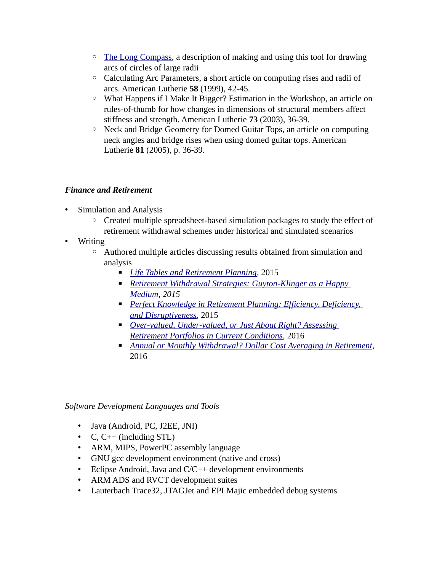- [The Long Compass,](http://jsevy.com/luthierie/compass/Long_compass.html) a description of making and using this tool for drawing arcs of circles of large radii
- Calculating Arc Parameters, a short article on computing rises and radii of arcs. American Lutherie **58** (1999), 42-45.
- What Happens if I Make It Bigger? Estimation in the Workshop, an article on rules-of-thumb for how changes in dimensions of structural members affect stiffness and strength. American Lutherie **73** (2003), 36-39.
- Neck and Bridge Geometry for Domed Guitar Tops, an article on computing neck angles and bridge rises when using domed guitar tops. American Lutherie **81** (2005), p. 36-39.

#### *Finance and Retirement*

- Simulation and Analysis
	- Created multiple spreadsheet-based simulation packages to study the effect of retirement withdrawal schemes under historical and simulated scenarios
- Writing
	- Authored multiple articles discussing results obtained from simulation and analysis
		- *[Life Tables and Retirement Planning](http://jsevy.com/wordpress/index.php/finance-and-retirement/fun-with-life-tables-planning-for-retirement)*, 2015
		- *Retirement Withdrawal Strategies: Guyton-Klinger as a Happy [Medium,](http://jsevy.com/wordpress/index.php/finance-and-retirement/retirement-withdrawal-strategies-guyton-klinger-as-a-happy-medium) 2015*
		- *Perfect Knowledge in Retirement Planning: Efficiency, Deficiency, [and Disruptiveness](http://jsevy.com/wordpress/index.php/perfect-knowledge-in-retirement-planning-efficiency-deficiency-and-disruptiveness)*, 2015
		- *Over-valued, Under-valued, or Just About Right? Assessing [Retirement Portfolios in Current Conditions](http://jsevy.com/wordpress/index.php/finance-and-retirement/assessing-retirement-portfolios-in-current-conditions)*, 2016
		- *[Annual or Monthly Withdrawal? Dollar Cost Averaging in Retirement](http://jsevy.com/wordpress/index.php/annual-or-monthly-withdrawal)*, 2016

*Software Development Languages and Tools*

- Java (Android, PC, J2EE, JNI)
- C,  $C++$  (including STL)
- ARM, MIPS, PowerPC assembly language
- GNU gcc development environment (native and cross)
- Eclipse Android, Java and C/C++ development environments
- ARM ADS and RVCT development suites
- Lauterbach Trace32, JTAGJet and EPI Majic embedded debug systems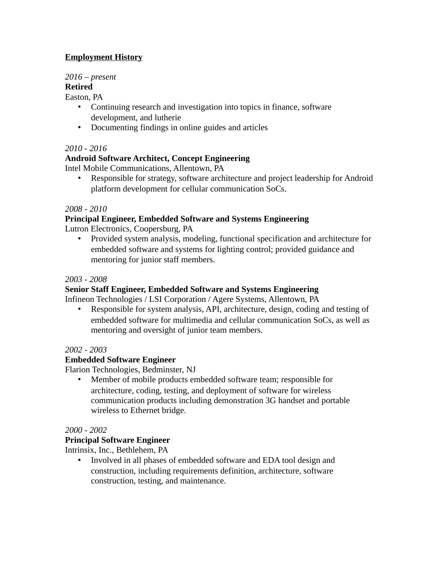# **Employment History**

# *2016 – present*

# **Retired**

Easton, PA

- Continuing research and investigation into topics in finance, software development, and lutherie
- Documenting findings in online guides and articles

#### *2010 - 2016*

# **Android Software Architect, Concept Engineering**

Intel Mobile Communications, Allentown, PA

• Responsible for strategy, software architecture and project leadership for Android platform development for cellular communication SoCs.

#### *2008 - 2010*

#### **Principal Engineer, Embedded Software and Systems Engineering**

Lutron Electronics, Coopersburg, PA

• Provided system analysis, modeling, functional specification and architecture for embedded software and systems for lighting control; provided guidance and mentoring for junior staff members.

#### *2003 - 2008*

#### **Senior Staff Engineer, Embedded Software and Systems Engineering**

Infineon Technologies / LSI Corporation / Agere Systems, Allentown, PA

• Responsible for system analysis, API, architecture, design, coding and testing of embedded software for multimedia and cellular communication SoCs, as well as mentoring and oversight of junior team members.

#### *2002 - 2003*

#### **Embedded Software Engineer**

Flarion Technologies, Bedminster, NJ

• Member of mobile products embedded software team; responsible for architecture, coding, testing, and deployment of software for wireless communication products including demonstration 3G handset and portable wireless to Ethernet bridge.

#### *2000 - 2002*

#### **Principal Software Engineer**

Intrinsix, Inc., Bethlehem, PA

• Involved in all phases of embedded software and EDA tool design and construction, including requirements definition, architecture, software construction, testing, and maintenance.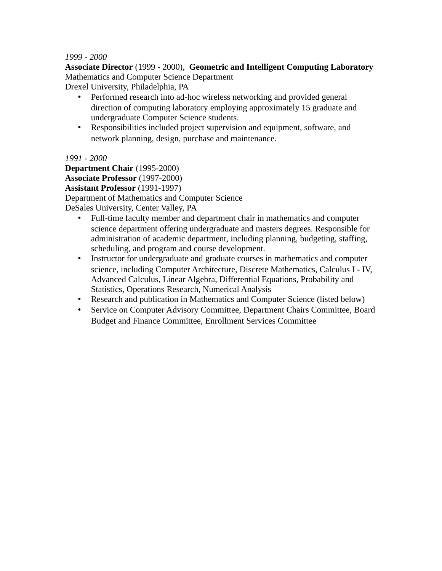#### *1999 - 2000*

**Associate Director** (1999 - 2000), **Geometric and Intelligent Computing Laboratory**  Mathematics and Computer Science Department

Drexel University, Philadelphia, PA

- Performed research into ad-hoc wireless networking and provided general direction of computing laboratory employing approximately 15 graduate and undergraduate Computer Science students.
- Responsibilities included project supervision and equipment, software, and network planning, design, purchase and maintenance.

*1991 - 2000*

**Department Chair** (1995-2000) **Associate Professor** (1997-2000) **Assistant Professor** (1991-1997) Department of Mathematics and Computer Science DeSales University, Center Valley, PA

- Full-time faculty member and department chair in mathematics and computer science department offering undergraduate and masters degrees. Responsible for administration of academic department, including planning, budgeting, staffing, scheduling, and program and course development.
- Instructor for undergraduate and graduate courses in mathematics and computer science, including Computer Architecture, Discrete Mathematics, Calculus I - IV, Advanced Calculus, Linear Algebra, Differential Equations, Probability and Statistics, Operations Research, Numerical Analysis
- Research and publication in Mathematics and Computer Science (listed below)
- Service on Computer Advisory Committee, Department Chairs Committee, Board Budget and Finance Committee, Enrollment Services Committee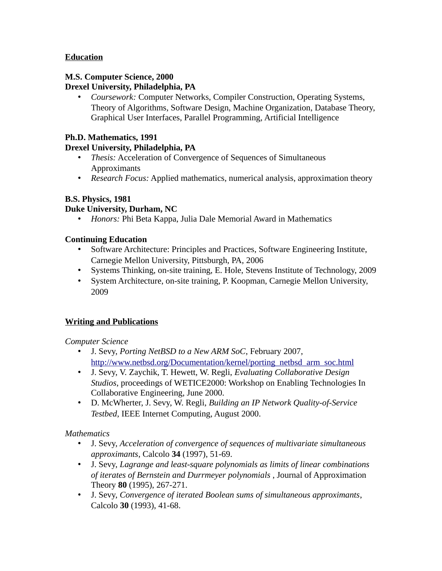## **Education**

#### **M.S. Computer Science, 2000 Drexel University, Philadelphia, PA**

• *Coursework:* Computer Networks, Compiler Construction, Operating Systems, Theory of Algorithms, Software Design, Machine Organization, Database Theory, Graphical User Interfaces, Parallel Programming, Artificial Intelligence

#### **Ph.D. Mathematics, 1991**

#### **Drexel University, Philadelphia, PA**

- *Thesis:* Acceleration of Convergence of Sequences of Simultaneous Approximants
- *Research Focus:* Applied mathematics, numerical analysis, approximation theory

#### **B.S. Physics, 1981**

#### **Duke University, Durham, NC**

• *Honors:* Phi Beta Kappa, Julia Dale Memorial Award in Mathematics

#### **Continuing Education**

- Software Architecture: Principles and Practices, Software Engineering Institute, Carnegie Mellon University, Pittsburgh, PA, 2006
- Systems Thinking, on-site training, E. Hole, Stevens Institute of Technology, 2009
- System Architecture, on-site training, P. Koopman, Carnegie Mellon University, 2009

# **Writing and Publications**

*Computer Science*

- J. Sevy, *Porting NetBSD to a New ARM SoC*, February 2007, [http://www.netbsd.org/Documentation/kernel/porting\\_netbsd\\_arm\\_soc.html](http://www.netbsd.org/Documentation/kernel/porting_netbsd_arm_soc.html)
- J. Sevy, V. Zaychik, T. Hewett, W. Regli, *Evaluating Collaborative Design Studios*, proceedings of WETICE2000: Workshop on Enabling Technologies In Collaborative Engineering, June 2000.
- D. McWherter, J. Sevy, W. Regli, *Building an IP Network Quality-of-Service Testbed*, IEEE Internet Computing, August 2000.

*Mathematics*

- J. Sevy, *Acceleration of convergence of sequences of multivariate simultaneous approximants*, Calcolo **34** (1997), 51-69.
- J. Sevy, *Lagrange and least-square polynomials as limits of linear combinations of iterates of Bernstein and Durrmeyer polynomials* , Journal of Approximation Theory **80** (1995), 267-271.
- J. Sevy, *Convergence of iterated Boolean sums of simultaneous approximants*, Calcolo **30** (1993), 41-68.